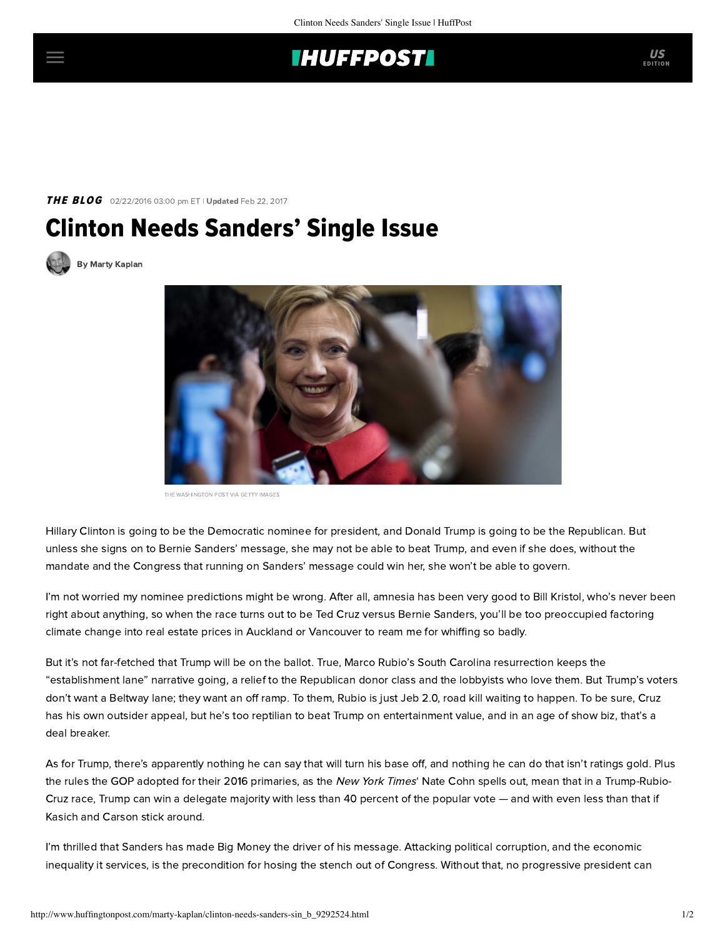## **THUFFPOST**

## **THE BLOG** 02/22/2016 03:00 pm ET | Updated Feb 22, 2017

## Clinton Needs Sanders' Single Issue



[By Marty Kaplan](http://www.huffingtonpost.com/author/marty-kaplan)



THE WASHINGTON POST VIA GETTY IMAGES

Hillary Clinton is going to be the Democratic nominee for president, and Donald Trump is going to be the Republican. But unless she signs on to Bernie Sanders' message, she may not be able to beat Trump, and even if she does, without the mandate and the Congress that running on Sanders' message could win her, she won't be able to govern.

I'm not worried my nominee predictions might be wrong. After all, amnesia has been very good to Bill Kristol, who's never been right about anything, so when the race turns out to be Ted Cruz versus Bernie Sanders, you'll be too preoccupied factoring climate change into real estate prices in Auckland or Vancouver to ream me for whiffing so badly.

But it's not far-fetched that Trump will be on the ballot. True, Marco Rubio's South Carolina resurrection keeps the "establishment lane" narrative going, a relief to the Republican donor class and the lobbyists who love them. But Trump's voters don't want a Beltway lane; they want an off ramp. To them, Rubio is just Jeb 2.0, road kill waiting to happen. To be sure, Cruz has his own outsider appeal, but he's too reptilian to beat Trump on entertainment value, and in an age of show biz, that's a deal breaker.

As for Trump, there's apparently nothing he can say that will turn his base off, and nothing he can do that isn't ratings gold. Plus the rules the GOP adopted for their 2016 primaries, as the New York Times' Nate Cohn [spells out,](http://www.nytimes.com/2016/02/20/upshot/how-trump-could-pile-up-delegates-with-modest-percentages-of-the-vote.html?_r=0) mean that in a Trump-Rubio-Cruz race, Trump can win a delegate majority with less than 40 percent of the popular vote — and with even less than that if Kasich and Carson stick around.

I'm thrilled that Sanders has made Big Money the driver of his message. Attacking political corruption, and the economic inequality it services, is the precondition for hosing the stench out of Congress. Without that, no progressive president can